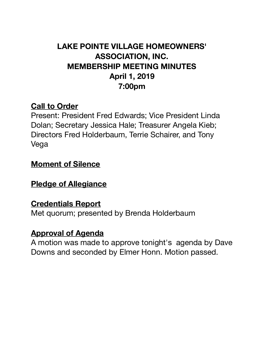# **LAKE POINTE VILLAGE HOMEOWNERS' ASSOCIATION, INC. MEMBERSHIP MEETING MINUTES April 1, 2019 7:00pm**

# **Call to Order**

Present: President Fred Edwards; Vice President Linda Dolan; Secretary Jessica Hale; Treasurer Angela Kieb; Directors Fred Holderbaum, Terrie Schairer, and Tony Vega

#### **Moment of Silence**

# **Pledge of Allegiance**

#### **Credentials Report**

Met quorum; presented by Brenda Holderbaum

# **Approval of Agenda**

A motion was made to approve tonight's agenda by Dave Downs and seconded by Elmer Honn. Motion passed.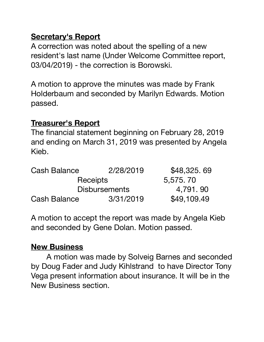# **Secretary's Report**

A correction was noted about the spelling of a new resident's last name (Under Welcome Committee report, 03/04/2019) - the correction is Borowski.

A motion to approve the minutes was made by Frank Holderbaum and seconded by Marilyn Edwards. Motion passed.

# **Treasurer's Report**

The financial statement beginning on February 28, 2019 and ending on March 31, 2019 was presented by Angela Kieb.

| <b>Cash Balance</b> | 2/28/2019            | \$48,325.69 |
|---------------------|----------------------|-------------|
| <b>Receipts</b>     |                      | 5,575,70    |
|                     | <b>Disbursements</b> | 4,791, 90   |
| Cash Balance        | 3/31/2019            | \$49,109.49 |

A motion to accept the report was made by Angela Kieb and seconded by Gene Dolan. Motion passed.

#### **New Business**

A motion was made by Solveig Barnes and seconded by Doug Fader and Judy Kihlstrand to have Director Tony Vega present information about insurance. It will be in the New Business section.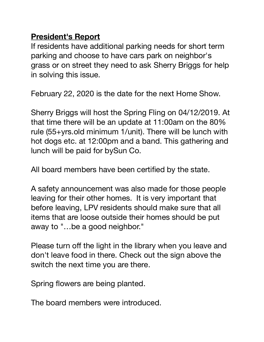# **President's Report**

If residents have additional parking needs for short term parking and choose to have cars park on neighbor's grass or on street they need to ask Sherry Briggs for help in solving this issue.

February 22, 2020 is the date for the next Home Show.

Sherry Briggs will host the Spring Fling on 04/12/2019. At that time there will be an update at 11:00am on the 80% rule (55+yrs.old minimum 1/unit). There will be lunch with hot dogs etc. at 12:00pm and a band. This gathering and lunch will be paid for bySun Co.

All board members have been certified by the state.

A safety announcement was also made for those people leaving for their other homes. It is very important that before leaving, LPV residents should make sure that all items that are loose outside their homes should be put away to "…be a good neighbor."

Please turn off the light in the library when you leave and don't leave food in there. Check out the sign above the switch the next time you are there.

Spring flowers are being planted.

The board members were introduced.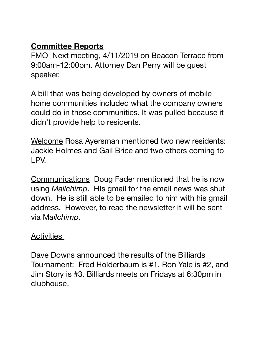#### **Committee Reports**

FMO Next meeting, 4/11/2019 on Beacon Terrace from 9:00am-12:00pm. Attorney Dan Perry will be guest speaker.

A bill that was being developed by owners of mobile home communities included what the company owners could do in those communities. It was pulled because it didn't provide help to residents.

Welcome Rosa Ayersman mentioned two new residents: Jackie Holmes and Gail Brice and two others coming to LPV.

Communications Doug Fader mentioned that he is now using *Mailchimp*. HIs gmail for the email news was shut down. He is still able to be emailed to him with his gmail address. However, to read the newsletter it will be sent via M*ailchimp*.

#### **Activities**

Dave Downs announced the results of the Billiards Tournament: Fred Holderbaum is #1, Ron Yale is #2, and Jim Story is #3. Billiards meets on Fridays at 6:30pm in clubhouse.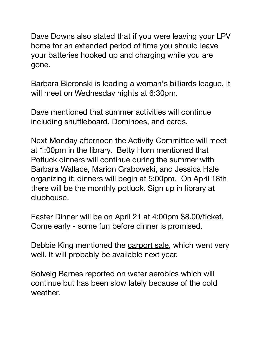Dave Downs also stated that if you were leaving your LPV home for an extended period of time you should leave your batteries hooked up and charging while you are gone. 

Barbara Bieronski is leading a woman's billiards league. It will meet on Wednesday nights at 6:30pm.

Dave mentioned that summer activities will continue including shuffleboard, Dominoes, and cards.

Next Monday afternoon the Activity Committee will meet at 1:00pm in the library. Betty Horn mentioned that Potluck dinners will continue during the summer with Barbara Wallace, Marion Grabowski, and Jessica Hale organizing it; dinners will begin at 5:00pm. On April 18th there will be the monthly potluck. Sign up in library at clubhouse.

Easter Dinner will be on April 21 at 4:00pm \$8.00/ticket. Come early - some fun before dinner is promised.

Debbie King mentioned the carport sale, which went very well. It will probably be available next year.

Solveig Barnes reported on water aerobics which will continue but has been slow lately because of the cold weather.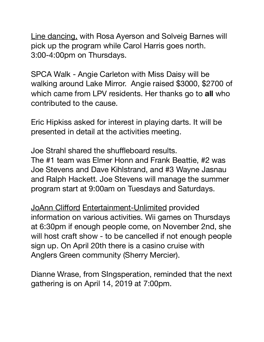Line dancing, with Rosa Ayerson and Solveig Barnes will pick up the program while Carol Harris goes north. 3:00-4:00pm on Thursdays.

SPCA Walk - Angie Carleton with Miss Daisy will be walking around Lake Mirror. Angie raised \$3000, \$2700 of which came from LPV residents. Her thanks go to **all** who contributed to the cause.

Eric Hipkiss asked for interest in playing darts. It will be presented in detail at the activities meeting.

Joe Strahl shared the shuffleboard results.

The #1 team was Elmer Honn and Frank Beattie, #2 was Joe Stevens and Dave Kihlstrand, and #3 Wayne Jasnau and Ralph Hackett. Joe Stevens will manage the summer program start at 9:00am on Tuesdays and Saturdays.

JoAnn Clifford Entertainment-Unlimited provided information on various activities. Wii games on Thursdays at 6:30pm if enough people come, on November 2nd, she will host craft show - to be cancelled if not enough people sign up. On April 20th there is a casino cruise with Anglers Green community (Sherry Mercier).

Dianne Wrase, from SIngsperation, reminded that the next gathering is on April 14, 2019 at 7:00pm.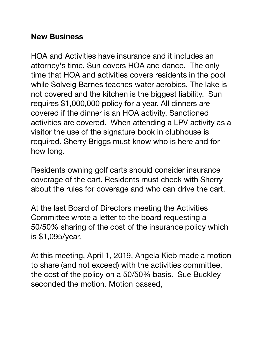# **New Business**

HOA and Activities have insurance and it includes an attorney's time. Sun covers HOA and dance. The only time that HOA and activities covers residents in the pool while Solveig Barnes teaches water aerobics. The lake is not covered and the kitchen is the biggest liability. Sun requires \$1,000,000 policy for a year. All dinners are covered if the dinner is an HOA activity. Sanctioned activities are covered. When attending a LPV activity as a visitor the use of the signature book in clubhouse is required. Sherry Briggs must know who is here and for how long.

Residents owning golf carts should consider insurance coverage of the cart. Residents must check with Sherry about the rules for coverage and who can drive the cart.

At the last Board of Directors meeting the Activities Committee wrote a letter to the board requesting a 50/50% sharing of the cost of the insurance policy which is \$1,095/year.

At this meeting, April 1, 2019, Angela Kieb made a motion to share (and not exceed) with the activities committee, the cost of the policy on a 50/50% basis. Sue Buckley seconded the motion. Motion passed,